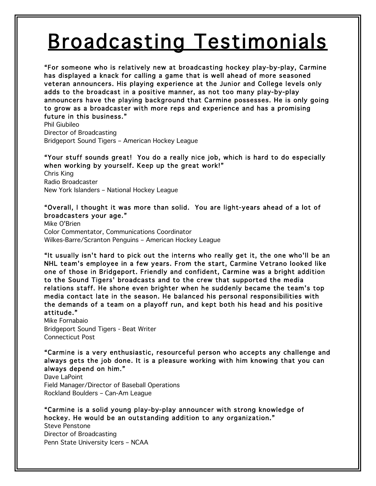## Broadcasting Testimonials

"For someone who is relatively new at broadcasting hockey play-by-play, Carmine has displayed a knack for calling a game that is well ahead of more seasoned veteran announcers. His playing experience at the Junior and College levels only adds to the broadcast in a positive manner, as not too many play-by-play announcers have the playing background that Carmine possesses. He is only going to grow as a broadcaster with more reps and experience and has a promising future in this business."

Phil Giubileo Director of Broadcasting Bridgeport Sound Tigers – American Hockey League

## "Your stuff sounds great! You do a really nice job, which is hard to do especially when working by yourself. Keep up the great work!"

Chris King Radio Broadcaster New York Islanders – National Hockey League

## "Overall, I thought it was more than solid. You are light-years ahead of a lot of broadcasters your age."

Mike O'Brien Color Commentator, Communications Coordinator Wilkes-Barre/Scranton Penguins – American Hockey League

"It usually isn't hard to pick out the interns who really get it, the one who'll be an NHL team's employee in a few years. From the start, Carmine Vetrano looked like one of those in Bridgeport. Friendly and confident, Carmine was a bright addition to the Sound Tigers' broadcasts and to the crew that supported the media relations staff. He shone even brighter when he suddenly became the team's top media contact late in the season. He balanced his personal responsibilities with the demands of a team on a playoff run, and kept both his head and his positive attitude."

Mike Fornabaio Bridgeport Sound Tigers - Beat Writer Connecticut Post

"Carmine is a very enthusiastic, resourceful person who accepts any challenge and always gets the job done. It is a pleasure working with him knowing that you can always depend on him."

Dave LaPoint Field Manager/Director of Baseball Operations Rockland Boulders – Can-Am League

"Carmine is a solid young play-by-play announcer with strong knowledge of hockey. He would be an outstanding addition to any organization."

Steve Penstone Director of Broadcasting Penn State University Icers – NCAA

L